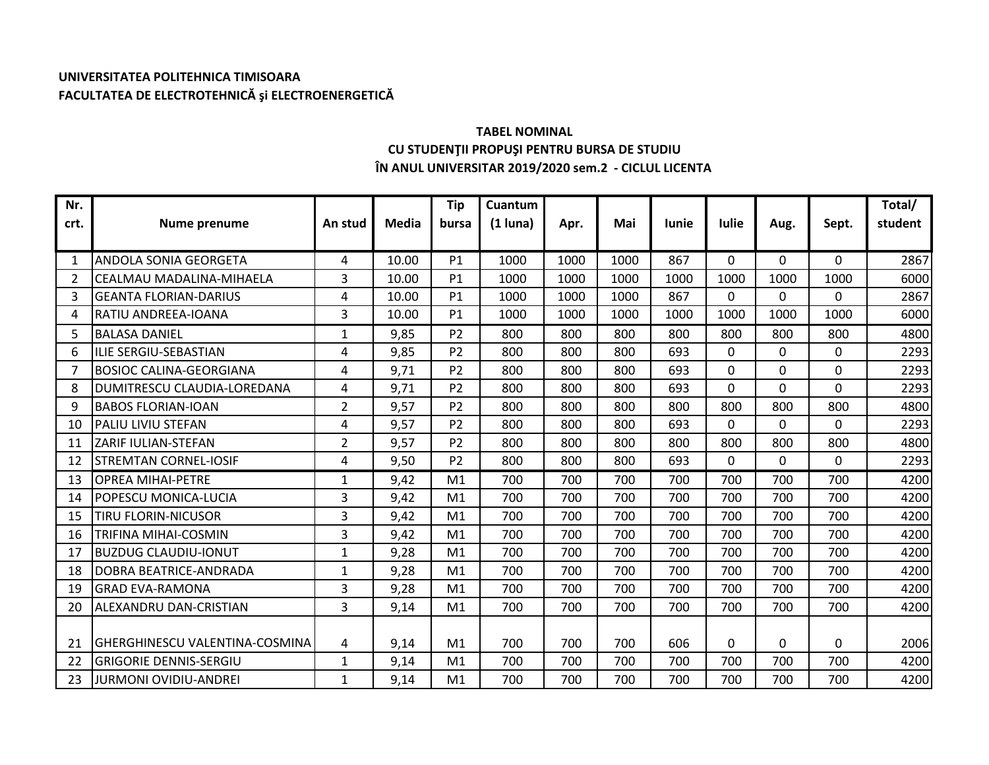## **UNIVERSITATEA POLITEHNICA TIMISOARA FACULTATEA DE ELECTROTEHNICĂ şi ELECTROENERGETICĂ**

## **TABEL NOMINAL CU STUDENŢII PROPUŞI PENTRU BURSA DE STUDIU ÎN ANUL UNIVERSITAR 2019/2020 sem.2 - CICLUL LICENTA**

| Nr.  |                                       |                |              | <b>Tip</b>     | Cuantum    |      |      |              |              |          |              | Total/  |
|------|---------------------------------------|----------------|--------------|----------------|------------|------|------|--------------|--------------|----------|--------------|---------|
| crt. | Nume prenume                          | An stud        | <b>Media</b> | bursa          | $(1$ luna) | Apr. | Mai  | <b>lunie</b> | <b>Iulie</b> | Aug.     | Sept.        | student |
|      |                                       |                |              |                |            |      |      |              |              |          |              |         |
| 1    | <b>ANDOLA SONIA GEORGETA</b>          | 4              | 10.00        | P1             | 1000       | 1000 | 1000 | 867          | $\Omega$     | 0        | $\Omega$     | 2867    |
| 2    | CEALMAU MADALINA-MIHAELA              | 3              | 10.00        | P1             | 1000       | 1000 | 1000 | 1000         | 1000         | 1000     | 1000         | 6000    |
| 3    | <b>GEANTA FLORIAN-DARIUS</b>          | 4              | 10.00        | P1             | 1000       | 1000 | 1000 | 867          | $\Omega$     | $\Omega$ | $\mathbf{0}$ | 2867    |
| 4    | RATIU ANDREEA-IOANA                   | 3              | 10.00        | P1             | 1000       | 1000 | 1000 | 1000         | 1000         | 1000     | 1000         | 6000    |
| 5    | <b>BALASA DANIEL</b>                  | 1              | 9,85         | P <sub>2</sub> | 800        | 800  | 800  | 800          | 800          | 800      | 800          | 4800    |
| 6    | ILIE SERGIU-SEBASTIAN                 | 4              | 9,85         | P <sub>2</sub> | 800        | 800  | 800  | 693          | $\mathbf 0$  | $\Omega$ | $\mathbf 0$  | 2293    |
| 7    | <b>BOSIOC CALINA-GEORGIANA</b>        | 4              | 9,71         | P <sub>2</sub> | 800        | 800  | 800  | 693          | $\Omega$     | $\Omega$ | $\mathbf 0$  | 2293    |
| 8    | DUMITRESCU CLAUDIA-LOREDANA           | 4              | 9,71         | P <sub>2</sub> | 800        | 800  | 800  | 693          | $\Omega$     | $\Omega$ | 0            | 2293    |
| 9    | <b>BABOS FLORIAN-IOAN</b>             | $\overline{2}$ | 9,57         | P <sub>2</sub> | 800        | 800  | 800  | 800          | 800          | 800      | 800          | 4800    |
| 10   | <b>PALIU LIVIU STEFAN</b>             | 4              | 9,57         | P <sub>2</sub> | 800        | 800  | 800  | 693          | $\Omega$     | $\Omega$ | $\Omega$     | 2293    |
| 11   | ZARIF IULIAN-STEFAN                   | $\overline{2}$ | 9,57         | P <sub>2</sub> | 800        | 800  | 800  | 800          | 800          | 800      | 800          | 4800    |
| 12   | <b>STREMTAN CORNEL-IOSIF</b>          | 4              | 9,50         | P <sub>2</sub> | 800        | 800  | 800  | 693          | $\Omega$     | $\Omega$ | $\mathbf 0$  | 2293    |
| 13   | <b>OPREA MIHAI-PETRE</b>              | 1              | 9,42         | M <sub>1</sub> | 700        | 700  | 700  | 700          | 700          | 700      | 700          | 4200    |
| 14   | POPESCU MONICA-LUCIA                  | 3              | 9,42         | M1             | 700        | 700  | 700  | 700          | 700          | 700      | 700          | 4200    |
| 15   | <b>TIRU FLORIN-NICUSOR</b>            | $\overline{3}$ | 9,42         | M <sub>1</sub> | 700        | 700  | 700  | 700          | 700          | 700      | 700          | 4200    |
| 16   | <b>TRIFINA MIHAI-COSMIN</b>           | 3              | 9,42         | M <sub>1</sub> | 700        | 700  | 700  | 700          | 700          | 700      | 700          | 4200    |
| 17   | <b>BUZDUG CLAUDIU-IONUT</b>           | $\mathbf{1}$   | 9,28         | M <sub>1</sub> | 700        | 700  | 700  | 700          | 700          | 700      | 700          | 4200    |
| 18   | <b>DOBRA BEATRICE-ANDRADA</b>         | $\mathbf{1}$   | 9,28         | M1             | 700        | 700  | 700  | 700          | 700          | 700      | 700          | 4200    |
| 19   | <b>GRAD EVA-RAMONA</b>                | 3              | 9,28         | M1             | 700        | 700  | 700  | 700          | 700          | 700      | 700          | 4200    |
| 20   | ALEXANDRU DAN-CRISTIAN                | 3              | 9,14         | M <sub>1</sub> | 700        | 700  | 700  | 700          | 700          | 700      | 700          | 4200    |
|      |                                       |                |              |                |            |      |      |              |              |          |              |         |
| 21   | <b>GHERGHINESCU VALENTINA-COSMINA</b> | 4              | 9,14         | M1             | 700        | 700  | 700  | 606          | $\Omega$     | $\Omega$ | 0            | 2006    |
| 22   | GRIGORIE DENNIS-SERGIU                | 1              | 9,14         | M <sub>1</sub> | 700        | 700  | 700  | 700          | 700          | 700      | 700          | 4200    |
| 23   | <b>JURMONI OVIDIU-ANDREI</b>          | $\mathbf{1}$   | 9,14         | M <sub>1</sub> | 700        | 700  | 700  | 700          | 700          | 700      | 700          | 4200    |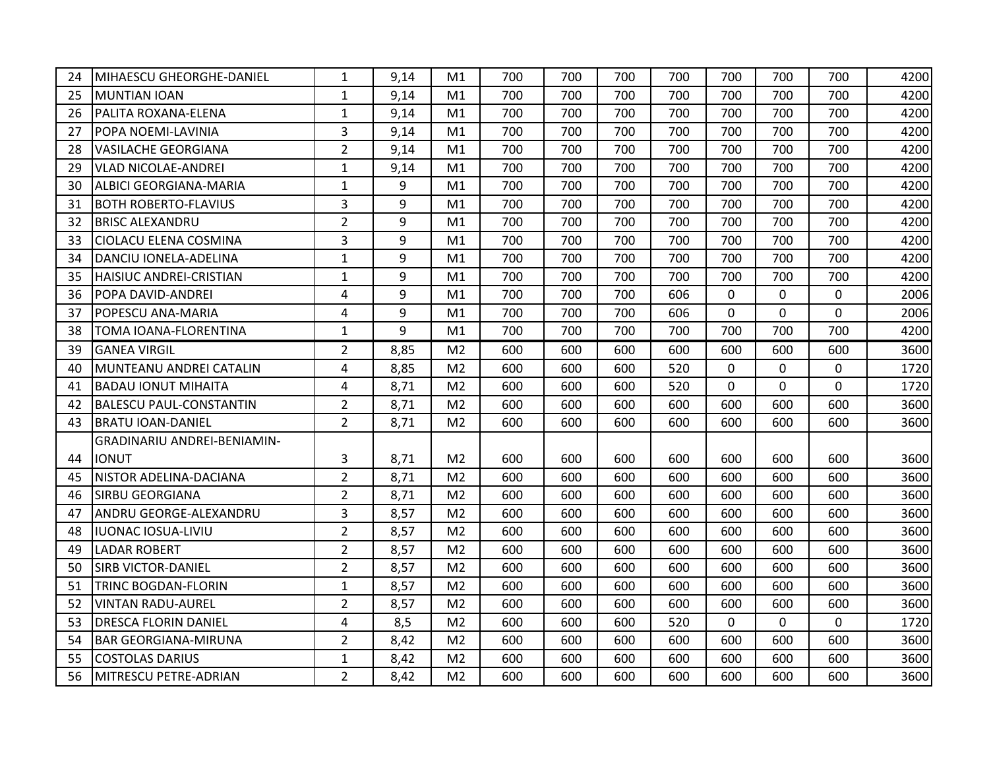| 24 | MIHAESCU GHEORGHE-DANIEL       | $\mathbf{1}$   | 9,14 | M1             | 700 | 700 | 700 | 700 | 700         | 700         | 700            | 4200 |
|----|--------------------------------|----------------|------|----------------|-----|-----|-----|-----|-------------|-------------|----------------|------|
| 25 | MUNTIAN IOAN                   | $\mathbf{1}$   | 9,14 | M1             | 700 | 700 | 700 | 700 | 700         | 700         | 700            | 4200 |
| 26 | PALITA ROXANA-ELENA            | $\mathbf{1}$   | 9,14 | M1             | 700 | 700 | 700 | 700 | 700         | 700         | 700            | 4200 |
| 27 | <b>POPA NOEMI-LAVINIA</b>      | 3              | 9,14 | M1             | 700 | 700 | 700 | 700 | 700         | 700         | 700            | 4200 |
| 28 | <b>VASILACHE GEORGIANA</b>     | $\overline{2}$ | 9,14 | M1             | 700 | 700 | 700 | 700 | 700         | 700         | 700            | 4200 |
| 29 | <b>VLAD NICOLAE-ANDREI</b>     | $\mathbf{1}$   | 9,14 | M1             | 700 | 700 | 700 | 700 | 700         | 700         | 700            | 4200 |
| 30 | <b>ALBICI GEORGIANA-MARIA</b>  | $\mathbf 1$    | 9    | M1             | 700 | 700 | 700 | 700 | 700         | 700         | 700            | 4200 |
| 31 | <b>BOTH ROBERTO-FLAVIUS</b>    | 3              | 9    | M1             | 700 | 700 | 700 | 700 | 700         | 700         | 700            | 4200 |
| 32 | <b>BRISC ALEXANDRU</b>         | $\overline{2}$ | 9    | M1             | 700 | 700 | 700 | 700 | 700         | 700         | 700            | 4200 |
| 33 | <b>CIOLACU ELENA COSMINA</b>   | 3              | 9    | M1             | 700 | 700 | 700 | 700 | 700         | 700         | 700            | 4200 |
| 34 | DANCIU IONELA-ADELINA          | $\mathbf{1}$   | 9    | M1             | 700 | 700 | 700 | 700 | 700         | 700         | 700            | 4200 |
| 35 | HAISIUC ANDREI-CRISTIAN        | $\mathbf{1}$   | 9    | M1             | 700 | 700 | 700 | 700 | 700         | 700         | 700            | 4200 |
| 36 | POPA DAVID-ANDREI              | 4              | 9    | M1             | 700 | 700 | 700 | 606 | $\mathbf 0$ | $\mathbf 0$ | 0              | 2006 |
| 37 | POPESCU ANA-MARIA              | $\overline{4}$ | 9    | M1             | 700 | 700 | 700 | 606 | $\mathbf 0$ | 0           | $\overline{0}$ | 2006 |
| 38 | TOMA IOANA-FLORENTINA          | $\mathbf{1}$   | 9    | M1             | 700 | 700 | 700 | 700 | 700         | 700         | 700            | 4200 |
| 39 | <b>GANEA VIRGIL</b>            | $\overline{2}$ | 8,85 | M <sub>2</sub> | 600 | 600 | 600 | 600 | 600         | 600         | 600            | 3600 |
| 40 | MUNTEANU ANDREI CATALIN        | 4              | 8,85 | M <sub>2</sub> | 600 | 600 | 600 | 520 | $\mathbf 0$ | 0           | 0              | 1720 |
| 41 | <b>BADAU IONUT MIHAITA</b>     | $\overline{4}$ | 8,71 | M <sub>2</sub> | 600 | 600 | 600 | 520 | $\Omega$    | 0           | $\overline{0}$ | 1720 |
| 42 | <b>BALESCU PAUL-CONSTANTIN</b> | $\overline{2}$ | 8,71 | M <sub>2</sub> | 600 | 600 | 600 | 600 | 600         | 600         | 600            | 3600 |
| 43 | <b>BRATU IOAN-DANIEL</b>       | $\overline{2}$ | 8,71 | M <sub>2</sub> | 600 | 600 | 600 | 600 | 600         | 600         | 600            | 3600 |
|    | GRADINARIU ANDREI-BENIAMIN-    |                |      |                |     |     |     |     |             |             |                |      |
| 44 | <b>IONUT</b>                   | 3              | 8,71 | M <sub>2</sub> | 600 | 600 | 600 | 600 | 600         | 600         | 600            | 3600 |
| 45 | NISTOR ADELINA-DACIANA         | $\overline{2}$ | 8,71 | M <sub>2</sub> | 600 | 600 | 600 | 600 | 600         | 600         | 600            | 3600 |
| 46 | <b>SIRBU GEORGIANA</b>         | $\overline{2}$ | 8,71 | M <sub>2</sub> | 600 | 600 | 600 | 600 | 600         | 600         | 600            | 3600 |
| 47 | ANDRU GEORGE-ALEXANDRU         | 3              | 8,57 | M <sub>2</sub> | 600 | 600 | 600 | 600 | 600         | 600         | 600            | 3600 |
| 48 | IUONAC IOSUA-LIVIU             | $\overline{2}$ | 8,57 | M <sub>2</sub> | 600 | 600 | 600 | 600 | 600         | 600         | 600            | 3600 |
| 49 | <b>LADAR ROBERT</b>            | $\overline{2}$ | 8,57 | M <sub>2</sub> | 600 | 600 | 600 | 600 | 600         | 600         | 600            | 3600 |
| 50 | <b>SIRB VICTOR-DANIEL</b>      | $\overline{2}$ | 8,57 | M <sub>2</sub> | 600 | 600 | 600 | 600 | 600         | 600         | 600            | 3600 |
| 51 | <b>TRINC BOGDAN-FLORIN</b>     | $\mathbf{1}$   | 8,57 | M <sub>2</sub> | 600 | 600 | 600 | 600 | 600         | 600         | 600            | 3600 |
| 52 | <b>VINTAN RADU-AUREL</b>       | $\overline{2}$ | 8,57 | M <sub>2</sub> | 600 | 600 | 600 | 600 | 600         | 600         | 600            | 3600 |
| 53 | <b>DRESCA FLORIN DANIEL</b>    | $\overline{4}$ | 8,5  | M <sub>2</sub> | 600 | 600 | 600 | 520 | $\mathbf 0$ | 0           | $\mathbf 0$    | 1720 |
| 54 | <b>BAR GEORGIANA-MIRUNA</b>    | $\overline{2}$ | 8,42 | M <sub>2</sub> | 600 | 600 | 600 | 600 | 600         | 600         | 600            | 3600 |
| 55 | <b>COSTOLAS DARIUS</b>         | $\mathbf{1}$   | 8,42 | M <sub>2</sub> | 600 | 600 | 600 | 600 | 600         | 600         | 600            | 3600 |
| 56 | MITRESCU PETRE-ADRIAN          | $\overline{2}$ | 8,42 | M <sub>2</sub> | 600 | 600 | 600 | 600 | 600         | 600         | 600            | 3600 |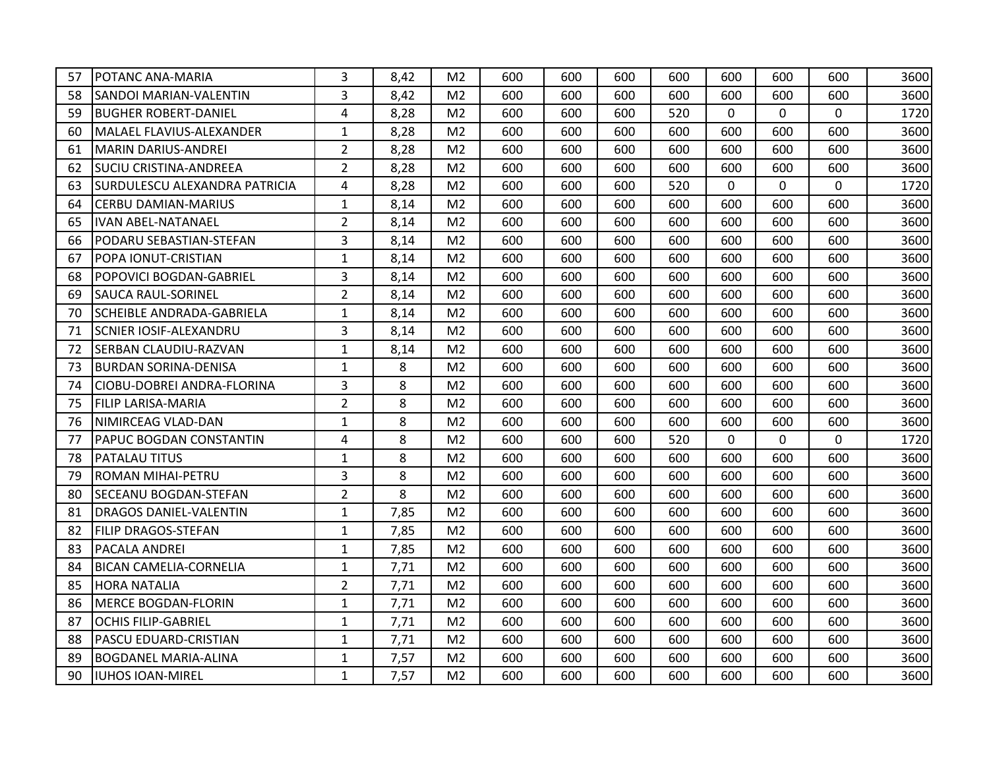| 57 | <b>POTANC ANA-MARIA</b>              | 3              | 8,42 | M <sub>2</sub> | 600 | 600 | 600 | 600 | 600          | 600      | 600          | 3600 |
|----|--------------------------------------|----------------|------|----------------|-----|-----|-----|-----|--------------|----------|--------------|------|
| 58 | <b>SANDOI MARIAN-VALENTIN</b>        | 3              | 8,42 | M <sub>2</sub> | 600 | 600 | 600 | 600 | 600          | 600      | 600          | 3600 |
| 59 | <b>BUGHER ROBERT-DANIEL</b>          | 4              | 8,28 | M <sub>2</sub> | 600 | 600 | 600 | 520 | $\Omega$     | $\Omega$ | $\mathbf 0$  | 1720 |
| 60 | MALAEL FLAVIUS-ALEXANDER             | $\mathbf{1}$   | 8,28 | M <sub>2</sub> | 600 | 600 | 600 | 600 | 600          | 600      | 600          | 3600 |
| 61 | MARIN DARIUS-ANDREI                  | $\overline{2}$ | 8,28 | M <sub>2</sub> | 600 | 600 | 600 | 600 | 600          | 600      | 600          | 3600 |
| 62 | <b>SUCIU CRISTINA-ANDREEA</b>        | $\overline{2}$ | 8,28 | M <sub>2</sub> | 600 | 600 | 600 | 600 | 600          | 600      | 600          | 3600 |
| 63 | <b>SURDULESCU ALEXANDRA PATRICIA</b> | $\overline{4}$ | 8,28 | M <sub>2</sub> | 600 | 600 | 600 | 520 | $\mathbf 0$  | 0        | $\mathbf 0$  | 1720 |
| 64 | <b>CERBU DAMIAN-MARIUS</b>           | $\mathbf{1}$   | 8,14 | M <sub>2</sub> | 600 | 600 | 600 | 600 | 600          | 600      | 600          | 3600 |
| 65 | <b>IVAN ABEL-NATANAEL</b>            | $\overline{2}$ | 8,14 | M <sub>2</sub> | 600 | 600 | 600 | 600 | 600          | 600      | 600          | 3600 |
| 66 | PODARU SEBASTIAN-STEFAN              | $\overline{3}$ | 8,14 | M <sub>2</sub> | 600 | 600 | 600 | 600 | 600          | 600      | 600          | 3600 |
| 67 | <b>POPA IONUT-CRISTIAN</b>           | $\mathbf{1}$   | 8,14 | M <sub>2</sub> | 600 | 600 | 600 | 600 | 600          | 600      | 600          | 3600 |
| 68 | POPOVICI BOGDAN-GABRIEL              | $\overline{3}$ | 8,14 | M <sub>2</sub> | 600 | 600 | 600 | 600 | 600          | 600      | 600          | 3600 |
| 69 | <b>SAUCA RAUL-SORINEL</b>            | $\overline{2}$ | 8,14 | M <sub>2</sub> | 600 | 600 | 600 | 600 | 600          | 600      | 600          | 3600 |
| 70 | SCHEIBLE ANDRADA-GABRIELA            | $\mathbf{1}$   | 8,14 | M <sub>2</sub> | 600 | 600 | 600 | 600 | 600          | 600      | 600          | 3600 |
| 71 | <b>SCNIER IOSIF-ALEXANDRU</b>        | 3              | 8,14 | M <sub>2</sub> | 600 | 600 | 600 | 600 | 600          | 600      | 600          | 3600 |
| 72 | <b>SERBAN CLAUDIU-RAZVAN</b>         | $\mathbf{1}$   | 8,14 | M <sub>2</sub> | 600 | 600 | 600 | 600 | 600          | 600      | 600          | 3600 |
| 73 | <b>BURDAN SORINA-DENISA</b>          | $\mathbf{1}$   | 8    | M <sub>2</sub> | 600 | 600 | 600 | 600 | 600          | 600      | 600          | 3600 |
| 74 | CIOBU-DOBREI ANDRA-FLORINA           | $\overline{3}$ | 8    | M <sub>2</sub> | 600 | 600 | 600 | 600 | 600          | 600      | 600          | 3600 |
| 75 | <b>FILIP LARISA-MARIA</b>            | $\overline{2}$ | 8    | M <sub>2</sub> | 600 | 600 | 600 | 600 | 600          | 600      | 600          | 3600 |
| 76 | NIMIRCEAG VLAD-DAN                   | $\mathbf{1}$   | 8    | M <sub>2</sub> | 600 | 600 | 600 | 600 | 600          | 600      | 600          | 3600 |
| 77 | <b>PAPUC BOGDAN CONSTANTIN</b>       | $\overline{4}$ | 8    | M <sub>2</sub> | 600 | 600 | 600 | 520 | $\mathbf{0}$ | $\Omega$ | $\mathbf{0}$ | 1720 |
| 78 | <b>PATALAU TITUS</b>                 | $\mathbf{1}$   | 8    | M <sub>2</sub> | 600 | 600 | 600 | 600 | 600          | 600      | 600          | 3600 |
| 79 | <b>ROMAN MIHAI-PETRU</b>             | 3              | 8    | M <sub>2</sub> | 600 | 600 | 600 | 600 | 600          | 600      | 600          | 3600 |
| 80 | <b>SECEANU BOGDAN-STEFAN</b>         | $\overline{2}$ | 8    | M <sub>2</sub> | 600 | 600 | 600 | 600 | 600          | 600      | 600          | 3600 |
| 81 | <b>DRAGOS DANIEL-VALENTIN</b>        | $\mathbf{1}$   | 7,85 | M <sub>2</sub> | 600 | 600 | 600 | 600 | 600          | 600      | 600          | 3600 |
| 82 | <b>FILIP DRAGOS-STEFAN</b>           | $\mathbf{1}$   | 7,85 | M <sub>2</sub> | 600 | 600 | 600 | 600 | 600          | 600      | 600          | 3600 |
| 83 | <b>PACALA ANDREI</b>                 | $\mathbf{1}$   | 7,85 | M <sub>2</sub> | 600 | 600 | 600 | 600 | 600          | 600      | 600          | 3600 |
| 84 | <b>BICAN CAMELIA-CORNELIA</b>        | $\mathbf{1}$   | 7,71 | M <sub>2</sub> | 600 | 600 | 600 | 600 | 600          | 600      | 600          | 3600 |
| 85 | <b>HORA NATALIA</b>                  | $\overline{2}$ | 7,71 | M <sub>2</sub> | 600 | 600 | 600 | 600 | 600          | 600      | 600          | 3600 |
| 86 | MERCE BOGDAN-FLORIN                  | $\mathbf{1}$   | 7,71 | M <sub>2</sub> | 600 | 600 | 600 | 600 | 600          | 600      | 600          | 3600 |
| 87 | <b>OCHIS FILIP-GABRIEL</b>           | $\mathbf{1}$   | 7,71 | M <sub>2</sub> | 600 | 600 | 600 | 600 | 600          | 600      | 600          | 3600 |
| 88 | PASCU EDUARD-CRISTIAN                | $\mathbf{1}$   | 7,71 | M <sub>2</sub> | 600 | 600 | 600 | 600 | 600          | 600      | 600          | 3600 |
| 89 | <b>BOGDANEL MARIA-ALINA</b>          | $\mathbf{1}$   | 7,57 | M <sub>2</sub> | 600 | 600 | 600 | 600 | 600          | 600      | 600          | 3600 |
| 90 | <b>IUHOS IOAN-MIREL</b>              | $\mathbf{1}$   | 7,57 | M <sub>2</sub> | 600 | 600 | 600 | 600 | 600          | 600      | 600          | 3600 |